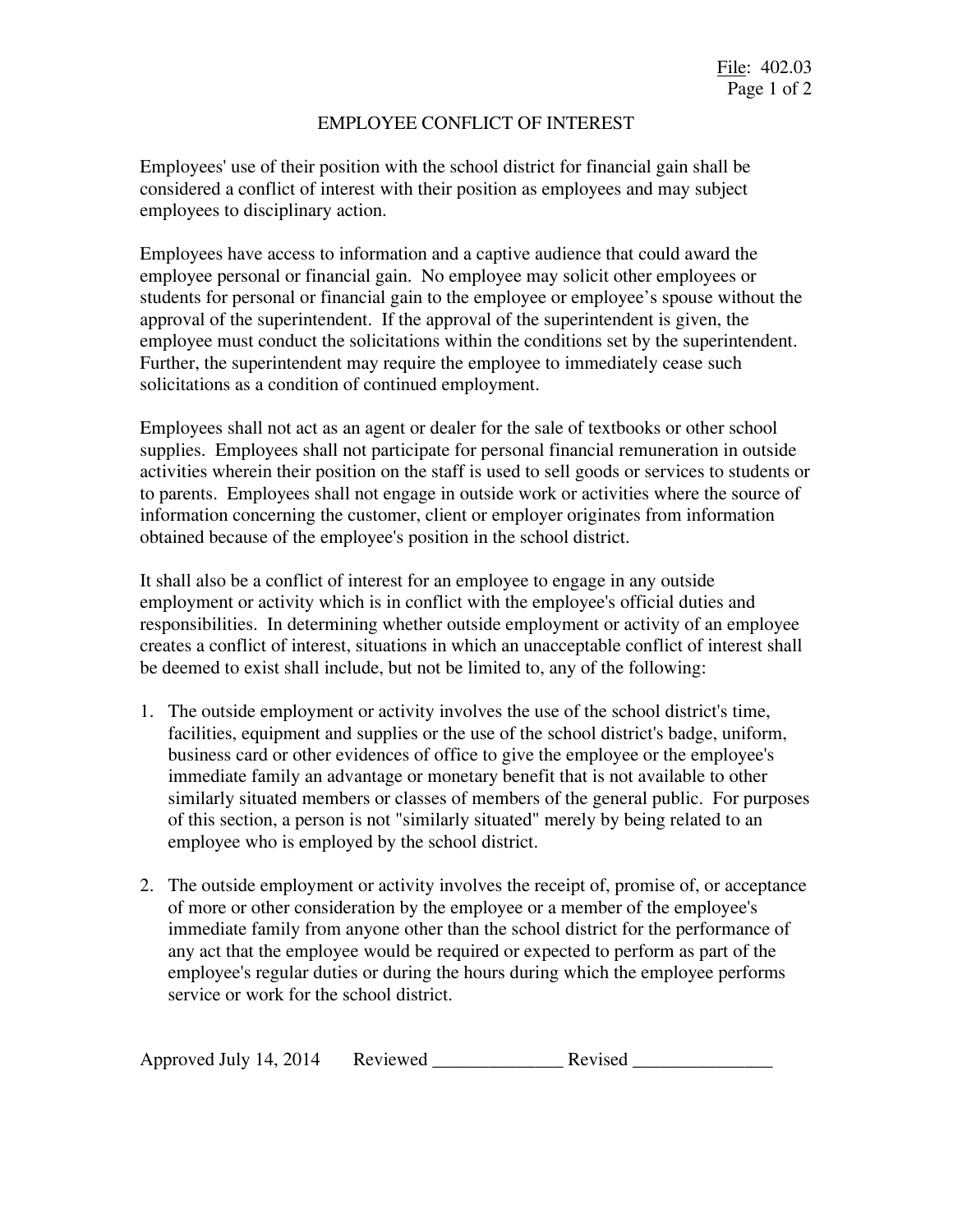## EMPLOYEE CONFLICT OF INTEREST

Employees' use of their position with the school district for financial gain shall be considered a conflict of interest with their position as employees and may subject employees to disciplinary action.

Employees have access to information and a captive audience that could award the employee personal or financial gain. No employee may solicit other employees or students for personal or financial gain to the employee or employee's spouse without the approval of the superintendent. If the approval of the superintendent is given, the employee must conduct the solicitations within the conditions set by the superintendent. Further, the superintendent may require the employee to immediately cease such solicitations as a condition of continued employment.

Employees shall not act as an agent or dealer for the sale of textbooks or other school supplies. Employees shall not participate for personal financial remuneration in outside activities wherein their position on the staff is used to sell goods or services to students or to parents. Employees shall not engage in outside work or activities where the source of information concerning the customer, client or employer originates from information obtained because of the employee's position in the school district.

It shall also be a conflict of interest for an employee to engage in any outside employment or activity which is in conflict with the employee's official duties and responsibilities. In determining whether outside employment or activity of an employee creates a conflict of interest, situations in which an unacceptable conflict of interest shall be deemed to exist shall include, but not be limited to, any of the following:

- 1. The outside employment or activity involves the use of the school district's time, facilities, equipment and supplies or the use of the school district's badge, uniform, business card or other evidences of office to give the employee or the employee's immediate family an advantage or monetary benefit that is not available to other similarly situated members or classes of members of the general public. For purposes of this section, a person is not "similarly situated" merely by being related to an employee who is employed by the school district.
- 2. The outside employment or activity involves the receipt of, promise of, or acceptance of more or other consideration by the employee or a member of the employee's immediate family from anyone other than the school district for the performance of any act that the employee would be required or expected to perform as part of the employee's regular duties or during the hours during which the employee performs service or work for the school district.

| Approved July 14, 2014 | Reviewed | Revised |
|------------------------|----------|---------|
|------------------------|----------|---------|